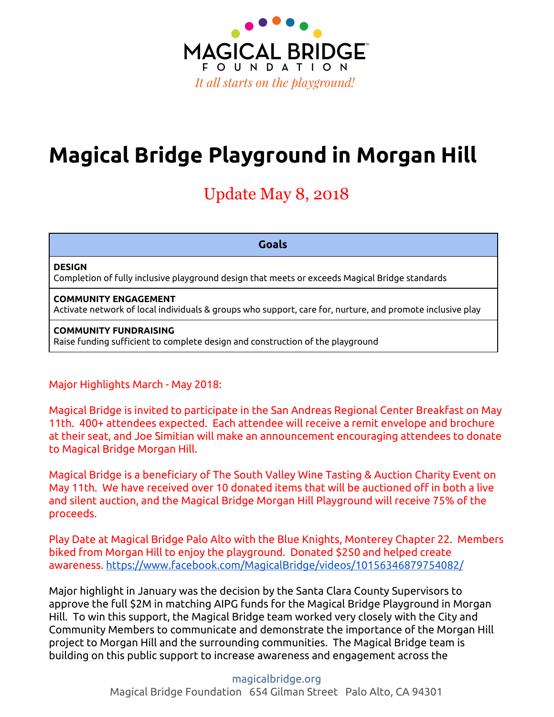

# **Magical Bridge Playground in Morgan Hill**

## Update May 8, 2018

**Goals**

### **DESIGN**

Completion of fully inclusive playground design that meets or exceeds Magical Bridge standards

### **COMMUNITY ENGAGEMENT**

Activate network of local individuals & groups who support, care for, nurture, and promote inclusive play

### **COMMUNITY FUNDRAISING**

Raise funding sufficient to complete design and construction of the playground

## Major Highlights March - May 2018:

Magical Bridge is invited to participate in the San Andreas Regional Center Breakfast on May 11th. 400+ attendees expected. Each attendee will receive a remit envelope and brochure at their seat, and Joe Simitian will make an announcement encouraging attendees to donate to Magical Bridge Morgan Hill.

Magical Bridge is a beneficiary of The South Valley Wine Tasting & Auction Charity Event on May 11th. We have received over 10 donated items that will be auctioned off in both a live and silent auction, and the Magical Bridge Morgan Hill Playground will receive 75% of the proceeds.

Play Date at Magical Bridge Palo Alto with the Blue Knights, Monterey Chapter 22. Members biked from Morgan Hill to enjoy the playground. Donated \$250 and helped create awareness. <https://www.facebook.com/MagicalBridge/videos/10156346879754082/>

Major highlight in January was the decision by the Santa Clara County Supervisors to approve the full \$2M in matching AIPG funds for the Magical Bridge Playground in Morgan Hill. To win this support, the Magical Bridge team worked very closely with the City and Community Members to communicate and demonstrate the importance of the Morgan Hill project to Morgan Hill and the surrounding communities. The Magical Bridge team is building on this public support to increase awareness and engagement across the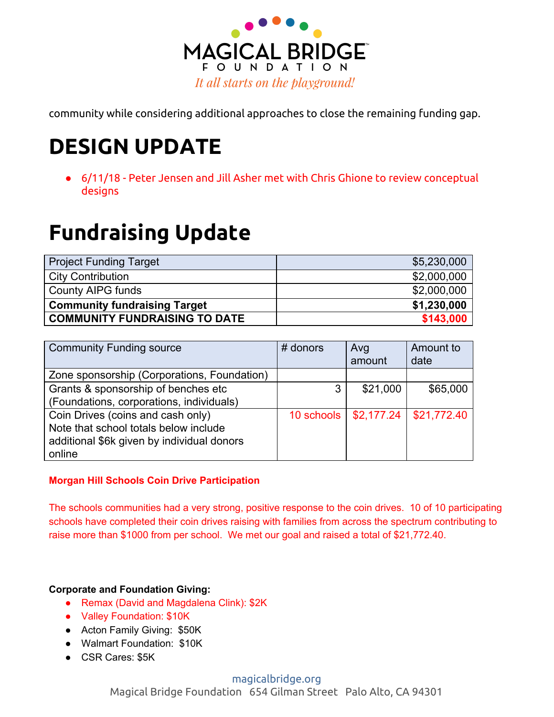

community while considering additional approaches to close the remaining funding gap.

# **DESIGN UPDATE**

● 6/11/18 - Peter Jensen and Jill Asher met with Chris Ghione to review conceptual designs

# **Fundraising Update**

| <b>Project Funding Target</b>        | \$5,230,000 |
|--------------------------------------|-------------|
| <b>City Contribution</b>             | \$2,000,000 |
| County AIPG funds                    | \$2,000,000 |
| <b>Community fundraising Target</b>  | \$1,230,000 |
| <b>COMMUNITY FUNDRAISING TO DATE</b> | \$143,000   |

| <b>Community Funding source</b>             | # donors | Avg<br>amount           | Amount to<br>date |
|---------------------------------------------|----------|-------------------------|-------------------|
| Zone sponsorship (Corporations, Foundation) |          |                         |                   |
| Grants & sponsorship of benches etc         | 3        | \$21,000                | \$65,000          |
| (Foundations, corporations, individuals)    |          |                         |                   |
| Coin Drives (coins and cash only)           |          | 10 schools   \$2,177.24 | \$21,772.40       |
| Note that school totals below include       |          |                         |                   |
| additional \$6k given by individual donors  |          |                         |                   |
| online                                      |          |                         |                   |

## **Morgan Hill Schools Coin Drive Participation**

The schools communities had a very strong, positive response to the coin drives. 10 of 10 participating schools have completed their coin drives raising with families from across the spectrum contributing to raise more than \$1000 from per school. We met our goal and raised a total of \$21,772.40.

## **Corporate and Foundation Giving:**

- Remax (David and Magdalena Clink): \$2K
- Valley Foundation: \$10K
- Acton Family Giving: \$50K
- Walmart Foundation: \$10K
- CSR Cares: \$5K

## [magicalbridge.org](http://magicalbridge.org/)

Magical Bridge Foundation 654 Gilman Street Palo Alto, CA 94301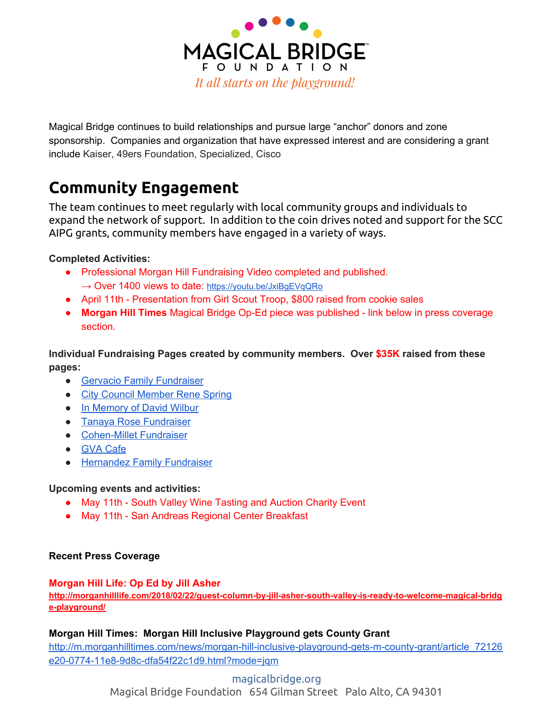

Magical Bridge continues to build relationships and pursue large "anchor" donors and zone sponsorship. Companies and organization that have expressed interest and are considering a grant include Kaiser, 49ers Foundation, Specialized, Cisco

## **Community Engagement**

The team continues to meet regularly with local community groups and individuals to expand the network of support. In addition to the coin drives noted and support for the SCC AIPG grants, community members have engaged in a variety of ways.

## **Completed Activities:**

- Professional Morgan Hill Fundraising Video completed and published. → Over 1400 views to date: <https://youtu.be/JxiBgEVqQRo>
- April 11th Presentation from Girl Scout Troop, \$800 raised from cookie sales
- **Morgan Hill Times** Magical Bridge Op-Ed piece was published link below in press coverage section.

**Individual Fundraising Pages created by community members. Over \$35K raised from these pages:**

- Gervacio Family [Fundraiser](https://magicalbridgefoundation.liveimpact.org/li/7811/sevent/evt/home/48489/p/56482/69)
- City Council [Member](https://magicalbridgefoundation.liveimpact.org/li/7811/sevent/evt/home/48489/p/48534/69) Rene Spring
- In [Memory](https://magicalbridgefoundation.liveimpact.org/li/7811/sevent/evt/home/48489/p/60974/69) of David Wilbur
- Tanaya Rose [Fundraiser](https://magicalbridgefoundation.liveimpact.org/li/7811/sevent/evt/home/48489/p/59402/69)
- [Cohen-Millet](https://magicalbridgefoundation.liveimpact.org/li/7811/sevent/evt/home/48489/p/57922/69) Fundraiser
- GVA [Cafe](https://magicalbridgefoundation.liveimpact.org/li/7811/sevent/evt/home/48489/p/49392/69)
- [Hernandez](https://magicalbridgefoundation.liveimpact.org/li/7811/sevent/evt/home/48489/p/82359/69) Family Fundraiser

## **Upcoming events and activities:**

- May 11th South Valley Wine Tasting and Auction Charity Event
- May 11th San Andreas Regional Center Breakfast

## **Recent Press Coverage**

## **Morgan Hill Life: Op Ed by Jill Asher**

**[http://morganhilllife.com/2018/02/22/guest-column-by-jill-asher-south-valley-is-ready-to-welcome-magical-bridg](http://morganhilllife.com/2018/02/22/guest-column-by-jill-asher-south-valley-is-ready-to-welcome-magical-bridge-playground/) [e-playground/](http://morganhilllife.com/2018/02/22/guest-column-by-jill-asher-south-valley-is-ready-to-welcome-magical-bridge-playground/)**

## **Morgan Hill Times: Morgan Hill Inclusive Playground gets County Grant**

[http://m.morganhilltimes.com/news/morgan-hill-inclusive-playground-gets-m-county-grant/article\\_72126](http://m.morganhilltimes.com/news/morgan-hill-inclusive-playground-gets-m-county-grant/article_72126e20-0774-11e8-9d8c-dfa54f22c1d9.html?mode=jqm) [e20-0774-11e8-9d8c-dfa54f22c1d9.html?mode=jqm](http://m.morganhilltimes.com/news/morgan-hill-inclusive-playground-gets-m-county-grant/article_72126e20-0774-11e8-9d8c-dfa54f22c1d9.html?mode=jqm)